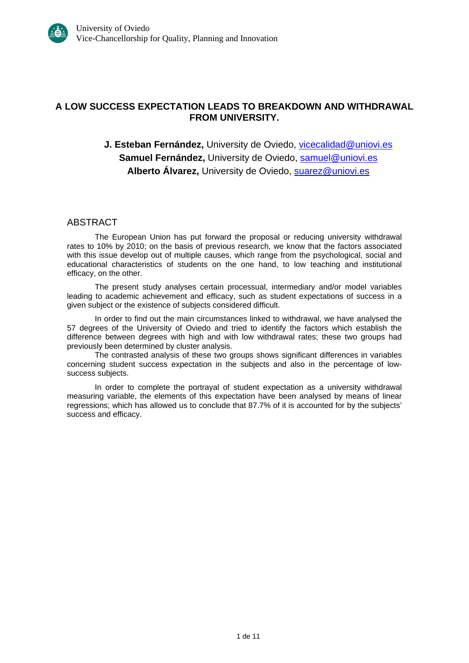# **A LOW SUCCESS EXPECTATION LEADS TO BREAKDOWN AND WITHDRAWAL FROM UNIVERSITY.**

# **J. Esteban Fernández, University de Oviedo, [vicecalidad@uniovi.es](mailto:vicecalidad@uniovi.es) Samuel Fernández,** University de Oviedo, [samuel@uniovi.es](mailto:samuel@uniovi.es) **Alberto Álvarez,** University de Oviedo, [suarez@uniovi.es](mailto:suarez@uniovi.es)

### ABSTRACT

The European Union has put forward the proposal or reducing university withdrawal rates to 10% by 2010; on the basis of previous research, we know that the factors associated with this issue develop out of multiple causes, which range from the psychological, social and educational characteristics of students on the one hand, to low teaching and institutional efficacy, on the other.

The present study analyses certain processual, intermediary and/or model variables leading to academic achievement and efficacy, such as student expectations of success in a given subject or the existence of subjects considered difficult.

In order to find out the main circumstances linked to withdrawal, we have analysed the 57 degrees of the University of Oviedo and tried to identify the factors which establish the difference between degrees with high and with low withdrawal rates; these two groups had previously been determined by cluster analysis.

The contrasted analysis of these two groups shows significant differences in variables concerning student success expectation in the subjects and also in the percentage of lowsuccess subjects.

In order to complete the portrayal of student expectation as a university withdrawal measuring variable, the elements of this expectation have been analysed by means of linear regressions; which has allowed us to conclude that 87.7% of it is accounted for by the subjects' success and efficacy.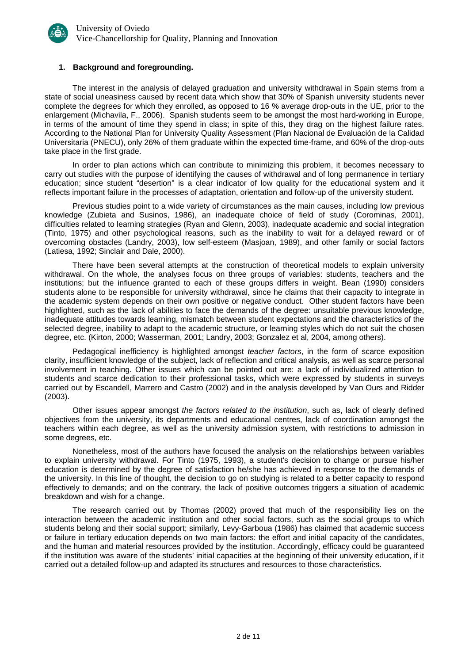

#### **1. Background and foregrounding.**

The interest in the analysis of delayed graduation and university withdrawal in Spain stems from a state of social uneasiness caused by recent data which show that 30% of Spanish university students never complete the degrees for which they enrolled, as opposed to 16 % average drop-outs in the UE, prior to the enlargement (Michavila, F., 2006). Spanish students seem to be amongst the most hard-working in Europe, in terms of the amount of time they spend in class; in spite of this, they drag on the highest failure rates. According to the National Plan for University Quality Assessment (Plan Nacional de Evaluación de la Calidad Universitaria (PNECU), only 26% of them graduate within the expected time-frame, and 60% of the drop-outs take place in the first grade.

In order to plan actions which can contribute to minimizing this problem, it becomes necessary to carry out studies with the purpose of identifying the causes of withdrawal and of long permanence in tertiary education; since student "desertion" is a clear indicator of low quality for the educational system and it reflects important failure in the processes of adaptation, orientation and follow-up of the university student.

Previous studies point to a wide variety of circumstances as the main causes, including low previous knowledge (Zubieta and Susinos, 1986), an inadequate choice of field of study (Corominas, 2001), difficulties related to learning strategies (Ryan and Glenn, 2003), inadequate academic and social integration (Tinto, 1975) and other psychological reasons, such as the inability to wait for a delayed reward or of overcoming obstacles (Landry, 2003), low self-esteem (Masjoan, 1989), and other family or social factors (Latiesa, 1992; Sinclair and Dale, 2000).

There have been several attempts at the construction of theoretical models to explain university withdrawal. On the whole, the analyses focus on three groups of variables: students, teachers and the institutions; but the influence granted to each of these groups differs in weight. Bean (1990) considers students alone to be responsible for university withdrawal, since he claims that their capacity to integrate in the academic system depends on their own positive or negative conduct. Other student factors have been highlighted, such as the lack of abilities to face the demands of the degree: unsuitable previous knowledge, inadequate attitudes towards learning, mismatch between student expectations and the characteristics of the selected degree, inability to adapt to the academic structure, or learning styles which do not suit the chosen degree, etc. (Kirton, 2000; Wasserman, 2001; Landry, 2003; Gonzalez et al, 2004, among others).

Pedagogical inefficiency is highlighted amongst *teacher factors*, in the form of scarce exposition clarity, insufficient knowledge of the subject, lack of reflection and critical analysis, as well as scarce personal involvement in teaching. Other issues which can be pointed out are: a lack of individualized attention to students and scarce dedication to their professional tasks, which were expressed by students in surveys carried out by Escandell, Marrero and Castro (2002) and in the analysis developed by Van Ours and Ridder (2003).

Other issues appear amongst *the factors related to the institution*, such as, lack of clearly defined objectives from the university, its departments and educational centres, lack of coordination amongst the teachers within each degree, as well as the university admission system, with restrictions to admission in some degrees, etc.

Nonetheless, most of the authors have focused the analysis on the relationships between variables to explain university withdrawal. For Tinto (1975, 1993), a student's decision to change or pursue his/her education is determined by the degree of satisfaction he/she has achieved in response to the demands of the university. In this line of thought, the decision to go on studying is related to a better capacity to respond effectively to demands; and on the contrary, the lack of positive outcomes triggers a situation of academic breakdown and wish for a change.

The research carried out by Thomas (2002) proved that much of the responsibility lies on the interaction between the academic institution and other social factors, such as the social groups to which students belong and their social support; similarly, Levy-Garboua (1986) has claimed that academic success or failure in tertiary education depends on two main factors: the effort and initial capacity of the candidates, and the human and material resources provided by the institution. Accordingly, efficacy could be guaranteed if the institution was aware of the students' initial capacities at the beginning of their university education, if it carried out a detailed follow-up and adapted its structures and resources to those characteristics.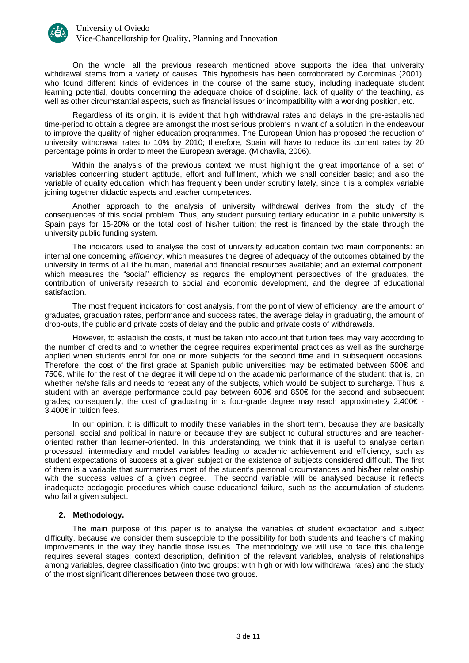

On the whole, all the previous research mentioned above supports the idea that university withdrawal stems from a variety of causes. This hypothesis has been corroborated by Corominas (2001), who found different kinds of evidences in the course of the same study, including inadequate student learning potential, doubts concerning the adequate choice of discipline, lack of quality of the teaching, as well as other circumstantial aspects, such as financial issues or incompatibility with a working position, etc.

Regardless of its origin, it is evident that high withdrawal rates and delays in the pre-established time-period to obtain a degree are amongst the most serious problems in want of a solution in the endeavour to improve the quality of higher education programmes. The European Union has proposed the reduction of university withdrawal rates to 10% by 2010; therefore, Spain will have to reduce its current rates by 20 percentage points in order to meet the European average. (Michavila, 2006).

Within the analysis of the previous context we must highlight the great importance of a set of variables concerning student aptitude, effort and fulfilment, which we shall consider basic; and also the variable of quality education, which has frequently been under scrutiny lately, since it is a complex variable joining together didactic aspects and teacher competences.

Another approach to the analysis of university withdrawal derives from the study of the consequences of this social problem. Thus, any student pursuing tertiary education in a public university is Spain pays for 15-20% or the total cost of his/her tuition; the rest is financed by the state through the university public funding system.

The indicators used to analyse the cost of university education contain two main components: an internal one concerning *efficiency*, which measures the degree of adequacy of the outcomes obtained by the university in terms of all the human, material and financial resources available; and an external component, which measures the "social" efficiency as regards the employment perspectives of the graduates, the contribution of university research to social and economic development, and the degree of educational satisfaction.

The most frequent indicators for cost analysis, from the point of view of efficiency, are the amount of graduates, graduation rates, performance and success rates, the average delay in graduating, the amount of drop-outs, the public and private costs of delay and the public and private costs of withdrawals.

However, to establish the costs, it must be taken into account that tuition fees may vary according to the number of credits and to whether the degree requires experimental practices as well as the surcharge applied when students enrol for one or more subjects for the second time and in subsequent occasions. Therefore, the cost of the first grade at Spanish public universities may be estimated between 500€ and 750€, while for the rest of the degree it will depend on the academic performance of the student; that is, on whether he/she fails and needs to repeat any of the subjects, which would be subject to surcharge. Thus, a student with an average performance could pay between 600€ and 850€ for the second and subsequent grades; consequently, the cost of graduating in a four-grade degree may reach approximately 2,400€ - 3,400€ in tuition fees.

In our opinion, it is difficult to modify these variables in the short term, because they are basically personal, social and political in nature or because they are subject to cultural structures and are teacheroriented rather than learner-oriented. In this understanding, we think that it is useful to analyse certain processual, intermediary and model variables leading to academic achievement and efficiency, such as student expectations of success at a given subject or the existence of subjects considered difficult. The first of them is a variable that summarises most of the student's personal circumstances and his/her relationship with the success values of a given degree. The second variable will be analysed because it reflects inadequate pedagogic procedures which cause educational failure, such as the accumulation of students who fail a given subject.

#### **2. Methodology.**

The main purpose of this paper is to analyse the variables of student expectation and subject difficulty, because we consider them susceptible to the possibility for both students and teachers of making improvements in the way they handle those issues. The methodology we will use to face this challenge requires several stages: context description, definition of the relevant variables, analysis of relationships among variables, degree classification (into two groups: with high or with low withdrawal rates) and the study of the most significant differences between those two groups.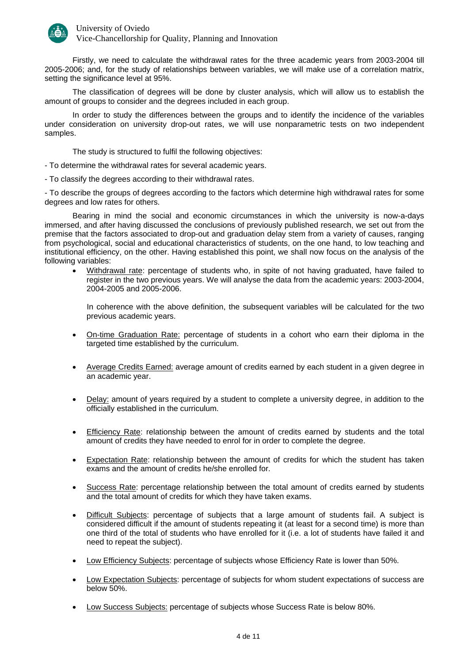

University of Oviedo Vice-Chancellorship for Quality, Planning and Innovation

Firstly, we need to calculate the withdrawal rates for the three academic years from 2003-2004 till 2005-2006; and, for the study of relationships between variables, we will make use of a correlation matrix, setting the significance level at 95%.

The classification of degrees will be done by cluster analysis, which will allow us to establish the amount of groups to consider and the degrees included in each group.

In order to study the differences between the groups and to identify the incidence of the variables under consideration on university drop-out rates, we will use nonparametric tests on two independent samples.

The study is structured to fulfil the following objectives:

- To determine the withdrawal rates for several academic years.

- To classify the degrees according to their withdrawal rates.

- To describe the groups of degrees according to the factors which determine high withdrawal rates for some degrees and low rates for others.

Bearing in mind the social and economic circumstances in which the university is now-a-days immersed, and after having discussed the conclusions of previously published research, we set out from the premise that the factors associated to drop-out and graduation delay stem from a variety of causes, ranging from psychological, social and educational characteristics of students, on the one hand, to low teaching and institutional efficiency, on the other. Having established this point, we shall now focus on the analysis of the following variables:

Withdrawal rate: percentage of students who, in spite of not having graduated, have failed to register in the two previous years. We will analyse the data from the academic years: 2003-2004, 2004-2005 and 2005-2006.

In coherence with the above definition, the subsequent variables will be calculated for the two previous academic years.

- On-time Graduation Rate: percentage of students in a cohort who earn their diploma in the targeted time established by the curriculum.
- Average Credits Earned: average amount of credits earned by each student in a given degree in an academic year.
- Delay: amount of years required by a student to complete a university degree, in addition to the officially established in the curriculum.
- Efficiency Rate: relationship between the amount of credits earned by students and the total amount of credits they have needed to enrol for in order to complete the degree.
- Expectation Rate: relationship between the amount of credits for which the student has taken exams and the amount of credits he/she enrolled for.
- Success Rate: percentage relationship between the total amount of credits earned by students and the total amount of credits for which they have taken exams.
- Difficult Subjects: percentage of subjects that a large amount of students fail. A subject is considered difficult if the amount of students repeating it (at least for a second time) is more than one third of the total of students who have enrolled for it (i.e. a lot of students have failed it and need to repeat the subject).
- Low Efficiency Subjects: percentage of subjects whose Efficiency Rate is lower than 50%.
- Low Expectation Subjects: percentage of subjects for whom student expectations of success are below 50%.
- Low Success Subjects: percentage of subjects whose Success Rate is below 80%.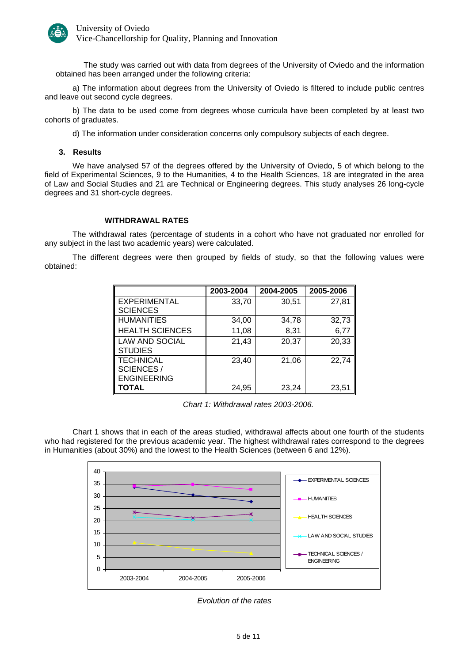

The study was carried out with data from degrees of the University of Oviedo and the information obtained has been arranged under the following criteria:

a) The information about degrees from the University of Oviedo is filtered to include public centres and leave out second cycle degrees.

b) The data to be used come from degrees whose curricula have been completed by at least two cohorts of graduates.

d) The information under consideration concerns only compulsory subjects of each degree.

#### **3. Results**

We have analysed 57 of the degrees offered by the University of Oviedo, 5 of which belong to the field of Experimental Sciences, 9 to the Humanities, 4 to the Health Sciences, 18 are integrated in the area of Law and Social Studies and 21 are Technical or Engineering degrees. This study analyses 26 long-cycle degrees and 31 short-cycle degrees.

#### **WITHDRAWAL RATES**

The withdrawal rates (percentage of students in a cohort who have not graduated nor enrolled for any subject in the last two academic years) were calculated.

The different degrees were then grouped by fields of study, so that the following values were obtained:

|                        | 2003-2004 | 2004-2005 | 2005-2006 |
|------------------------|-----------|-----------|-----------|
| EXPERIMENTAL           | 33,70     | 30,51     | 27,81     |
| <b>SCIENCES</b>        |           |           |           |
| <b>HUMANITIES</b>      | 34,00     | 34,78     | 32,73     |
| <b>HEALTH SCIENCES</b> | 11,08     | 8,31      | 6,77      |
| <b>LAW AND SOCIAL</b>  | 21,43     | 20,37     | 20,33     |
| <b>STUDIES</b>         |           |           |           |
| <b>TECHNICAL</b>       | 23,40     | 21,06     | 22,74     |
| <b>SCIENCES/</b>       |           |           |           |
| <b>ENGINEERING</b>     |           |           |           |
| <b>TOTAL</b>           | 24,95     | 23,24     | 23,51     |

*Chart 1: Withdrawal rates 2003-2006.* 

Chart 1 shows that in each of the areas studied, withdrawal affects about one fourth of the students who had registered for the previous academic year. The highest withdrawal rates correspond to the degrees in Humanities (about 30%) and the lowest to the Health Sciences (between 6 and 12%).



*Evolution of the rates*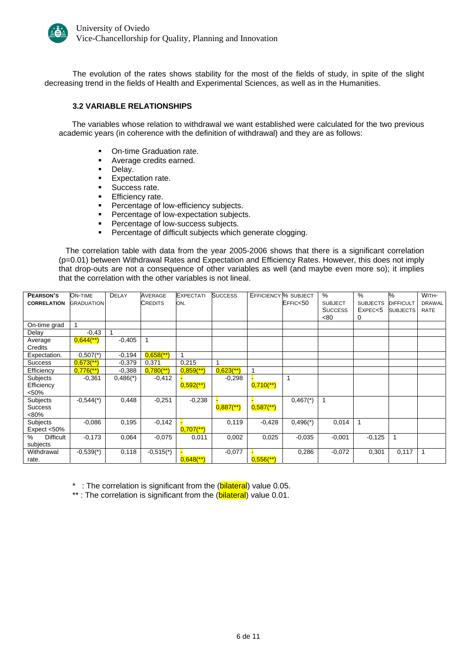

The evolution of the rates shows stability for the most of the fields of study, in spite of the slight decreasing trend in the fields of Health and Experimental Sciences, as well as in the Humanities.

#### **3.2 VARIABLE RELATIONSHIPS**

 The variables whose relation to withdrawal we want established were calculated for the two previous academic years (in coherence with the definition of withdrawal) and they are as follows:

- On-time Graduation rate.
- Average credits earned.
- **Delay.**
- **Expectation rate.**
- **Success rate.**
- **Efficiency rate.**
- Percentage of low-efficiency subjects.
- **Percentage of low-expectation subjects.**
- **Percentage of low-success subjects.**
- **Percentage of difficult subjects which generate clogging.**

The correlation table with data from the year 2005-2006 shows that there is a significant correlation (p=0.01) between Withdrawal Rates and Expectation and Efficiency Rates. However, this does not imply that drop-outs are not a consequence of other variables as well (and maybe even more so); it implies that the correlation with the other variables is not lineal.

| PEARSON'S             | ON-TIME                 | <b>DELAY</b>           | AVERAGE                 | <b>EXPECTATI</b>        | <b>SUCCESS</b>          | EFFICIENCY <sup>M</sup> SUBJECT |                        | $\%$           | $\%$            | ℅                | WITH-       |
|-----------------------|-------------------------|------------------------|-------------------------|-------------------------|-------------------------|---------------------------------|------------------------|----------------|-----------------|------------------|-------------|
| <b>CORRELATION</b>    | <b>GRADUATION</b>       |                        | <b>CREDITS</b>          | ON.                     |                         |                                 | EFFIC<50               | <b>SUBJECT</b> | <b>SUBJECTS</b> | <b>DIFFICULT</b> | DRAWAL      |
|                       |                         |                        |                         |                         |                         |                                 |                        | <b>SUCCESS</b> | EXPEC < 5       | <b>SUBJECTS</b>  | <b>RATE</b> |
|                       |                         |                        |                         |                         |                         |                                 |                        | < 80           | 0               |                  |             |
| On-time grad          |                         |                        |                         |                         |                         |                                 |                        |                |                 |                  |             |
| Delay                 | $-0,43$                 |                        |                         |                         |                         |                                 |                        |                |                 |                  |             |
| Average               | $0,644$ <sup>**</sup> ) | $-0,405$               |                         |                         |                         |                                 |                        |                |                 |                  |             |
| Credits               |                         |                        |                         |                         |                         |                                 |                        |                |                 |                  |             |
| Expectation.          | $0,507$ <sup>*</sup> )  | $-0,194$               | $0,658$ <sup>**</sup> ) | 1                       |                         |                                 |                        |                |                 |                  |             |
| <b>Success</b>        | $0,673$ <sup>**</sup> ) | $-0,379$               | 0,371                   | 0,215                   |                         |                                 |                        |                |                 |                  |             |
| Efficiency            | $0,776$ <sup>**</sup> ) | $-0,388$               | $0,780$ <sup>**</sup> ) | $0,859$ <sup>**</sup>   | $0,623$ <sup>**</sup> ) |                                 |                        |                |                 |                  |             |
| Subjects              | $-0.361$                | $0,486$ <sup>*</sup> ) | $-0,412$                |                         | $-0,298$                |                                 |                        |                |                 |                  |             |
| Efficiency            |                         |                        |                         | $0,592$ <sup>**</sup> ) |                         | $0,710$ <sup>**</sup> )         |                        |                |                 |                  |             |
| $50%$                 |                         |                        |                         |                         |                         |                                 |                        |                |                 |                  |             |
| Subjects              | $-0,544$ <sup>*</sup> ) | 0,448                  | $-0,251$                | $-0,238$                |                         |                                 | $0,467$ <sup>*</sup> ) |                |                 |                  |             |
| <b>Success</b>        |                         |                        |                         |                         | $0,887$ <sup>**</sup> ) | $0,587$ <sup>**</sup> )         |                        |                |                 |                  |             |
| <80%                  |                         |                        |                         |                         |                         |                                 |                        |                |                 |                  |             |
| Subjects              | $-0.086$                | 0,195                  | $-0,142$                |                         | 0,119                   | $-0,428$                        | $0,496$ <sup>(*)</sup> | 0,014          | $\mathbf{1}$    |                  |             |
| Expect <50%           |                         |                        |                         | $0,707$ <sup>**</sup> ) |                         |                                 |                        |                |                 |                  |             |
| <b>Difficult</b><br>% | $-0,173$                | 0,064                  | $-0.075$                | 0,011                   | 0,002                   | 0,025                           | $-0.035$               | $-0,001$       | $-0,125$        | $\mathbf{1}$     |             |
| subjects              |                         |                        |                         |                         |                         |                                 |                        |                |                 |                  |             |
| Withdrawal            | $-0,539(*)$             | 0,118                  | $-0,515(*)$             |                         | $-0,077$                |                                 | 0,286                  | $-0,072$       | 0,301           | 0,117            |             |
| rate.                 |                         |                        |                         | $0.648$ <sup>**</sup> ) |                         | $0.556$ <sup>(**)</sup>         |                        |                |                 |                  |             |

\* : The correlation is significant from the (bilateral) value 0.05.

\*\*: The correlation is significant from the (bilateral) value 0.01.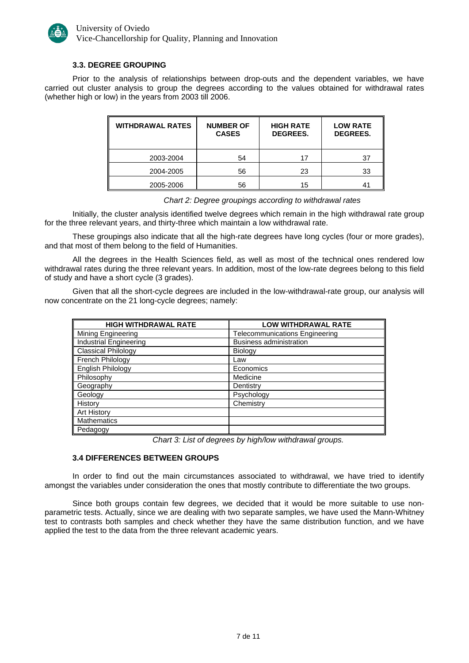

#### **3.3. DEGREE GROUPING**

Prior to the analysis of relationships between drop-outs and the dependent variables, we have carried out cluster analysis to group the degrees according to the values obtained for withdrawal rates (whether high or low) in the years from 2003 till 2006.

| <b>WITHDRAWAL RATES</b> | <b>NUMBER OF</b><br><b>CASES</b> | <b>HIGH RATE</b><br><b>DEGREES.</b> | <b>LOW RATE</b><br><b>DEGREES.</b> |
|-------------------------|----------------------------------|-------------------------------------|------------------------------------|
| 2003-2004               | 54                               | 17                                  | 37                                 |
| 2004-2005               | 56                               | 23                                  | 33                                 |
| 2005-2006               | 56                               | 15                                  | 41                                 |

*Chart 2: Degree groupings according to withdrawal rates*

Initially, the cluster analysis identified twelve degrees which remain in the high withdrawal rate group for the three relevant years, and thirty-three which maintain a low withdrawal rate.

These groupings also indicate that all the high-rate degrees have long cycles (four or more grades), and that most of them belong to the field of Humanities.

All the degrees in the Health Sciences field, as well as most of the technical ones rendered low withdrawal rates during the three relevant years. In addition, most of the low-rate degrees belong to this field of study and have a short cycle (3 grades).

Given that all the short-cycle degrees are included in the low-withdrawal-rate group, our analysis will now concentrate on the 21 long-cycle degrees; namely:

| <b>HIGH WITHDRAWAL RATE</b> | <b>LOW WITHDRAWAL RATE</b>            |
|-----------------------------|---------------------------------------|
| Mining Engineering          | <b>Telecommunications Engineering</b> |
| Industrial Engineering      | <b>Business administration</b>        |
| <b>Classical Philology</b>  | Biology                               |
| French Philology            | Law                                   |
| English Philology           | Economics                             |
| Philosophy                  | Medicine                              |
| Geography                   | Dentistry                             |
| Geology                     | Psychology                            |
| History                     | Chemistry                             |
| <b>Art History</b>          |                                       |
| Mathematics                 |                                       |
| Pedagogy                    |                                       |

*Chart 3: List of degrees by high/low withdrawal groups.*

#### **3.4 DIFFERENCES BETWEEN GROUPS**

In order to find out the main circumstances associated to withdrawal, we have tried to identify amongst the variables under consideration the ones that mostly contribute to differentiate the two groups.

Since both groups contain few degrees, we decided that it would be more suitable to use nonparametric tests. Actually, since we are dealing with two separate samples, we have used the Mann-Whitney test to contrasts both samples and check whether they have the same distribution function, and we have applied the test to the data from the three relevant academic years.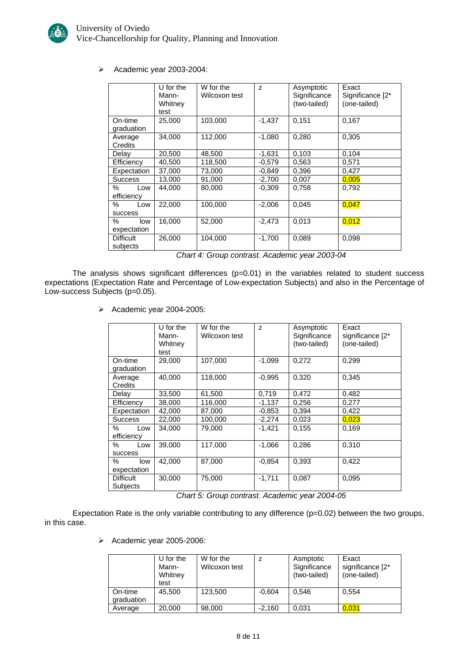

¾ Academic year 2003-2004:

|                              | $U$ for the<br>Mann-<br>Whitney<br>test | W for the<br>Wilcoxon test | Z        | Asymptotic<br>Significance<br>(two-tailed) | Exact<br>Significance [2*<br>(one-tailed) |
|------------------------------|-----------------------------------------|----------------------------|----------|--------------------------------------------|-------------------------------------------|
| On-time<br>graduation        | 25,000                                  | 103,000                    | $-1,437$ | 0,151                                      | 0,167                                     |
| Average<br>Credits           | 34,000                                  | 112,000                    | $-1,080$ | 0,280                                      | 0,305                                     |
| Delay                        | 20,500                                  | 48,500                     | $-1,631$ | 0,103                                      | 0,104                                     |
| Efficiency                   | 40,500                                  | 118,500                    | $-0.579$ | 0,563                                      | 0,571                                     |
| Expectation                  | 37,000                                  | 73,000                     | $-0.849$ | 0,396                                      | 0,427                                     |
| <b>Success</b>               | 13,000                                  | 91,000                     | $-2,700$ | 0,007                                      | 0,005                                     |
| ℅<br>Low<br>efficiency       | 44,000                                  | 80,000                     | $-0.309$ | 0,758                                      | 0,792                                     |
| %<br>Low<br><b>SUCCESS</b>   | 22,000                                  | 100,000                    | $-2,006$ | 0,045                                      | 0,047                                     |
| ℅<br>low<br>expectation      | 16,000                                  | 52,000                     | $-2,473$ | 0,013                                      | 0,012                                     |
| <b>Difficult</b><br>subjects | 26,000                                  | 104,000                    | $-1,700$ | 0,089                                      | 0,098                                     |

*Chart 4: Group contrast. Academic year 2003-04*

The analysis shows significant differences (p=0.01) in the variables related to student success expectations (Expectation Rate and Percentage of Low-expectation Subjects) and also in the Percentage of Low-success Subjects (p=0.05).

¾ Academic year 2004-2005:

|                              | U for the<br>Mann-<br>Whitney<br>test | W for the<br>Wilcoxon test | Z        | Asymptotic<br>Significance<br>(two-tailed) | Exact<br>significance [2*<br>(one-tailed) |
|------------------------------|---------------------------------------|----------------------------|----------|--------------------------------------------|-------------------------------------------|
| On-time<br>graduation        | 29,000                                | 107,000                    | $-1,099$ | 0,272                                      | 0,299                                     |
| Average<br>Credits           | 40,000                                | 118,000                    | $-0,995$ | 0,320                                      | 0,345                                     |
| Delay                        | 33,500                                | 61,500                     | 0,719    | 0,472                                      | 0,482                                     |
| Efficiency                   | 38,000                                | 116,000                    | $-1,137$ | 0,256                                      | 0,277                                     |
| Expectation                  | 42,000                                | 87,000                     | $-0.853$ | 0,394                                      | 0,422                                     |
| <b>Success</b>               | 22,000                                | 100,000                    | $-2,274$ | 0,023                                      | 0,023                                     |
| ℅<br>Low<br>efficiency       | 34.000                                | 79,000                     | $-1,421$ | 0.155                                      | 0.169                                     |
| %<br>Low<br><b>SUCCESS</b>   | 39,000                                | 117,000                    | $-1,066$ | 0,286                                      | 0,310                                     |
| $\%$<br>low<br>expectation   | 42,000                                | 87,000                     | $-0.854$ | 0,393                                      | 0,422                                     |
| <b>Difficult</b><br>Subjects | 30,000                                | 75,000                     | $-1,711$ | 0,087                                      | 0,095                                     |

*Chart 5: Group contrast. Academic year 2004-05*

Expectation Rate is the only variable contributing to any difference (p=0.02) between the two groups, in this case.

¾ Academic year 2005-2006:

|                       | U for the<br>Mann-<br>Whitney<br>test | W for the<br>Wilcoxon test |          | Asmptotic<br>Significance<br>(two-tailed) | Exact<br>significance [2*<br>(one-tailed) |
|-----------------------|---------------------------------------|----------------------------|----------|-------------------------------------------|-------------------------------------------|
| On-time<br>graduation | 45,500                                | 123,500                    | $-0.604$ | 0.546                                     | 0,554                                     |
| Average               | 20,000                                | 98,000                     | $-2.160$ | 0.031                                     | 0.031                                     |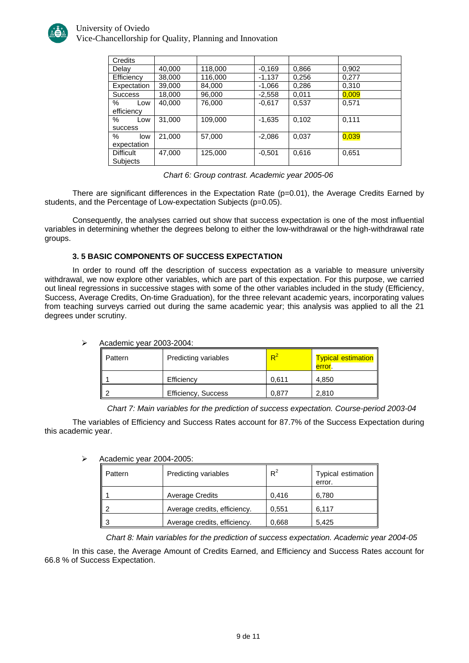

#### University of Oviedo Vice-Chancellorship for Quality, Planning and Innovation

| Credits          |        |         |          |       |       |
|------------------|--------|---------|----------|-------|-------|
| Delay            | 40,000 | 118,000 | $-0.169$ | 0,866 | 0,902 |
| Efficiency       | 38,000 | 116,000 | $-1,137$ | 0,256 | 0.277 |
| Expectation      | 39,000 | 84,000  | $-1,066$ | 0,286 | 0,310 |
| <b>Success</b>   | 18,000 | 96,000  | $-2,558$ | 0,011 | 0,009 |
| %<br>Low         | 40,000 | 76,000  | $-0.617$ | 0,537 | 0,571 |
| efficiency       |        |         |          |       |       |
| %<br>Low         | 31.000 | 109.000 | $-1,635$ | 0,102 | 0.111 |
| success          |        |         |          |       |       |
| %<br>low         | 21,000 | 57,000  | $-2,086$ | 0,037 | 0,039 |
| expectation      |        |         |          |       |       |
| <b>Difficult</b> | 47,000 | 125,000 | $-0,501$ | 0,616 | 0,651 |
| <b>Subjects</b>  |        |         |          |       |       |

| Chart 6: Group contrast. Academic year 2005-06 |
|------------------------------------------------|
|------------------------------------------------|

There are significant differences in the Expectation Rate (p=0.01), the Average Credits Earned by students, and the Percentage of Low-expectation Subjects (p=0.05).

Consequently, the analyses carried out show that success expectation is one of the most influential variables in determining whether the degrees belong to either the low-withdrawal or the high-withdrawal rate groups.

#### **3. 5 BASIC COMPONENTS OF SUCCESS EXPECTATION**

In order to round off the description of success expectation as a variable to measure university withdrawal, we now explore other variables, which are part of this expectation. For this purpose, we carried out lineal regressions in successive stages with some of the other variables included in the study (Efficiency, Success, Average Credits, On-time Graduation), for the three relevant academic years, incorporating values from teaching surveys carried out during the same academic year; this analysis was applied to all the 21 degrees under scrutiny.

| Pattern | Predicting variables       | $R^2$ | <b>Typical estimation</b>  <br>error. |
|---------|----------------------------|-------|---------------------------------------|
|         | Efficiency                 | 0.611 | 4.850                                 |
|         | <b>Efficiency, Success</b> | 0.877 | 2.810                                 |

 $\triangleright$  Academic year 2003-2004:

*Chart 7: Main variables for the prediction of success expectation. Course-period 2003-04*

The variables of Efficiency and Success Rates account for 87.7% of the Success Expectation during this academic year.

| Pattern | Predicting variables         | $R^2$ | Typical estimation<br>error. |  |  |  |
|---------|------------------------------|-------|------------------------------|--|--|--|
|         | <b>Average Credits</b>       | 0,416 | 6,780                        |  |  |  |
|         | Average credits, efficiency. | 0.551 | 6,117                        |  |  |  |
| ว       | Average credits, efficiency. | 0.668 | 5.425                        |  |  |  |

## ¾ Academic year 2004-2005:

*Chart 8: Main variables for the prediction of success expectation. Academic year 2004-05*

In this case, the Average Amount of Credits Earned, and Efficiency and Success Rates account for 66.8 % of Success Expectation.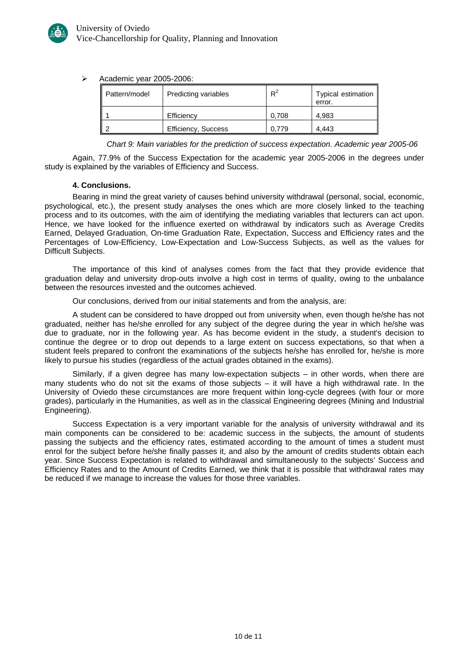

#### ¾ Academic year 2005-2006:

| Pattern/model | Predicting variables | $R^2$ | Typical estimation  <br>error. |
|---------------|----------------------|-------|--------------------------------|
|               | Efficiency           | 0.708 | 4,983                          |
|               | Efficiency, Success  | .779  | 4.443                          |

*Chart 9: Main variables for the prediction of success expectation. Academic year 2005-06*

Again, 77.9% of the Success Expectation for the academic year 2005-2006 in the degrees under study is explained by the variables of Efficiency and Success.

#### **4. Conclusions.**

Bearing in mind the great variety of causes behind university withdrawal (personal, social, economic, psychological, etc.), the present study analyses the ones which are more closely linked to the teaching process and to its outcomes, with the aim of identifying the mediating variables that lecturers can act upon. Hence, we have looked for the influence exerted on withdrawal by indicators such as Average Credits Earned, Delayed Graduation, On-time Graduation Rate, Expectation, Success and Efficiency rates and the Percentages of Low-Efficiency, Low-Expectation and Low-Success Subjects, as well as the values for Difficult Subjects.

The importance of this kind of analyses comes from the fact that they provide evidence that graduation delay and university drop-outs involve a high cost in terms of quality, owing to the unbalance between the resources invested and the outcomes achieved.

Our conclusions, derived from our initial statements and from the analysis, are:

A student can be considered to have dropped out from university when, even though he/she has not graduated, neither has he/she enrolled for any subject of the degree during the year in which he/she was due to graduate, nor in the following year. As has become evident in the study, a student's decision to continue the degree or to drop out depends to a large extent on success expectations, so that when a student feels prepared to confront the examinations of the subjects he/she has enrolled for, he/she is more likely to pursue his studies (regardless of the actual grades obtained in the exams).

Similarly, if a given degree has many low-expectation subjects – in other words, when there are many students who do not sit the exams of those subjects – it will have a high withdrawal rate. In the University of Oviedo these circumstances are more frequent within long-cycle degrees (with four or more grades), particularly in the Humanities, as well as in the classical Engineering degrees (Mining and Industrial Engineering).

Success Expectation is a very important variable for the analysis of university withdrawal and its main components can be considered to be: academic success in the subjects, the amount of students passing the subjects and the efficiency rates, estimated according to the amount of times a student must enrol for the subject before he/she finally passes it, and also by the amount of credits students obtain each year. Since Success Expectation is related to withdrawal and simultaneously to the subjects' Success and Efficiency Rates and to the Amount of Credits Earned, we think that it is possible that withdrawal rates may be reduced if we manage to increase the values for those three variables.